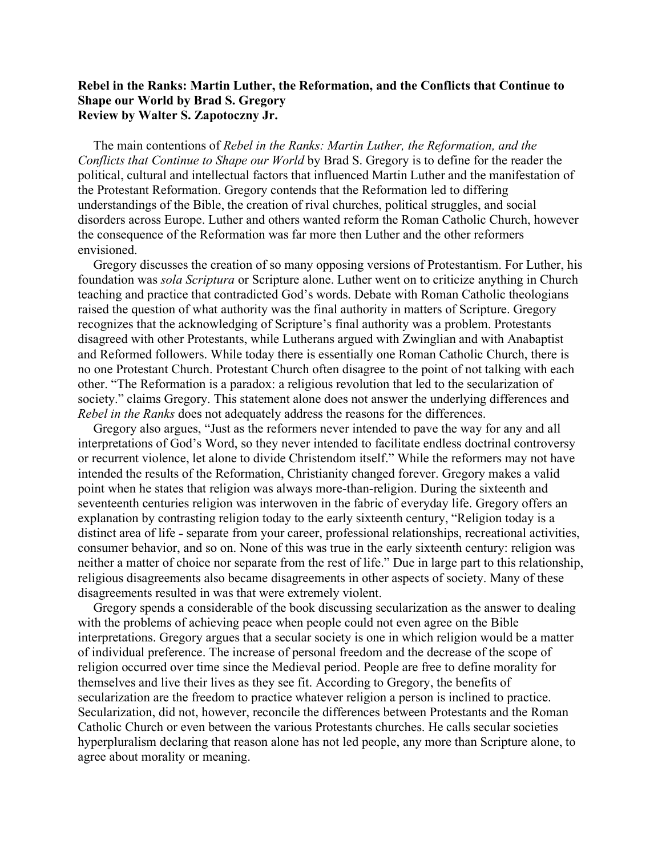## **Rebel in the Ranks: Martin Luther, the Reformation, and the Conflicts that Continue to Shape our World by Brad S. Gregory Review by Walter S. Zapotoczny Jr.**

The main contentions of *Rebel in the Ranks: Martin Luther, the Reformation, and the Conflicts that Continue to Shape our World* by Brad S. Gregory is to define for the reader the political, cultural and intellectual factors that influenced Martin Luther and the manifestation of the Protestant Reformation. Gregory contends that the Reformation led to differing understandings of the Bible, the creation of rival churches, political struggles, and social disorders across Europe. Luther and others wanted reform the Roman Catholic Church, however the consequence of the Reformation was far more then Luther and the other reformers envisioned.

Gregory discusses the creation of so many opposing versions of Protestantism. For Luther, his foundation was *sola Scriptura* or Scripture alone. Luther went on to criticize anything in Church teaching and practice that contradicted God's words. Debate with Roman Catholic theologians raised the question of what authority was the final authority in matters of Scripture. Gregory recognizes that the acknowledging of Scripture's final authority was a problem. Protestants disagreed with other Protestants, while Lutherans argued with Zwinglian and with Anabaptist and Reformed followers. While today there is essentially one Roman Catholic Church, there is no one Protestant Church. Protestant Church often disagree to the point of not talking with each other. "The Reformation is a paradox: a religious revolution that led to the secularization of society." claims Gregory. This statement alone does not answer the underlying differences and *Rebel in the Ranks* does not adequately address the reasons for the differences.

Gregory also argues, "Just as the reformers never intended to pave the way for any and all interpretations of God's Word, so they never intended to facilitate endless doctrinal controversy or recurrent violence, let alone to divide Christendom itself." While the reformers may not have intended the results of the Reformation, Christianity changed forever. Gregory makes a valid point when he states that religion was always more-than-religion. During the sixteenth and seventeenth centuries religion was interwoven in the fabric of everyday life. Gregory offers an explanation by contrasting religion today to the early sixteenth century, "Religion today is a distinct area of life - separate from your career, professional relationships, recreational activities, consumer behavior, and so on. None of this was true in the early sixteenth century: religion was neither a matter of choice nor separate from the rest of life." Due in large part to this relationship, religious disagreements also became disagreements in other aspects of society. Many of these disagreements resulted in was that were extremely violent.

Gregory spends a considerable of the book discussing secularization as the answer to dealing with the problems of achieving peace when people could not even agree on the Bible interpretations. Gregory argues that a secular society is one in which religion would be a matter of individual preference. The increase of personal freedom and the decrease of the scope of religion occurred over time since the Medieval period. People are free to define morality for themselves and live their lives as they see fit. According to Gregory, the benefits of secularization are the freedom to practice whatever religion a person is inclined to practice. Secularization, did not, however, reconcile the differences between Protestants and the Roman Catholic Church or even between the various Protestants churches. He calls secular societies hyperpluralism declaring that reason alone has not led people, any more than Scripture alone, to agree about morality or meaning.